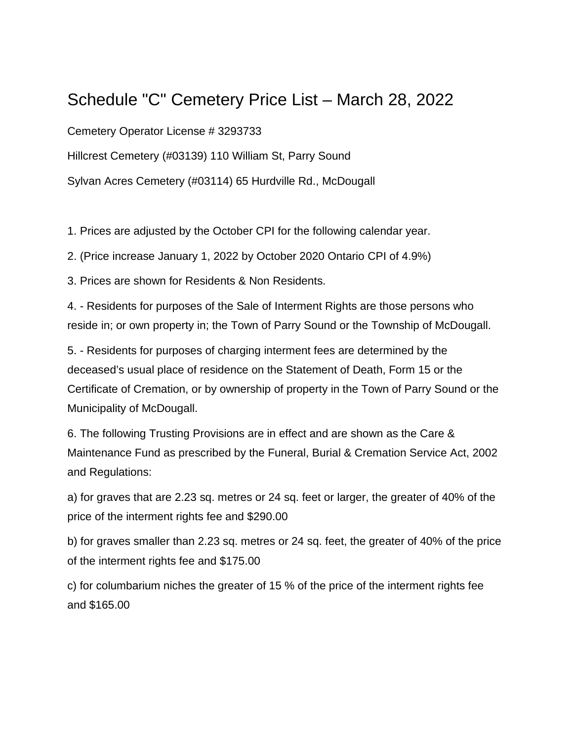# Schedule "C" Cemetery Price List – March 28, 2022

Cemetery Operator License # 3293733

Hillcrest Cemetery (#03139) 110 William St, Parry Sound

Sylvan Acres Cemetery (#03114) 65 Hurdville Rd., McDougall

1. Prices are adjusted by the October CPI for the following calendar year.

2. (Price increase January 1, 2022 by October 2020 Ontario CPI of 4.9%)

3. Prices are shown for Residents & Non Residents.

4. - Residents for purposes of the Sale of Interment Rights are those persons who reside in; or own property in; the Town of Parry Sound or the Township of McDougall.

5. - Residents for purposes of charging interment fees are determined by the deceased's usual place of residence on the Statement of Death, Form 15 or the Certificate of Cremation, or by ownership of property in the Town of Parry Sound or the Municipality of McDougall.

6. The following Trusting Provisions are in effect and are shown as the Care & Maintenance Fund as prescribed by the Funeral, Burial & Cremation Service Act, 2002 and Regulations:

a) for graves that are 2.23 sq. metres or 24 sq. feet or larger, the greater of 40% of the price of the interment rights fee and \$290.00

b) for graves smaller than 2.23 sq. metres or 24 sq. feet, the greater of 40% of the price of the interment rights fee and \$175.00

c) for columbarium niches the greater of 15 % of the price of the interment rights fee and \$165.00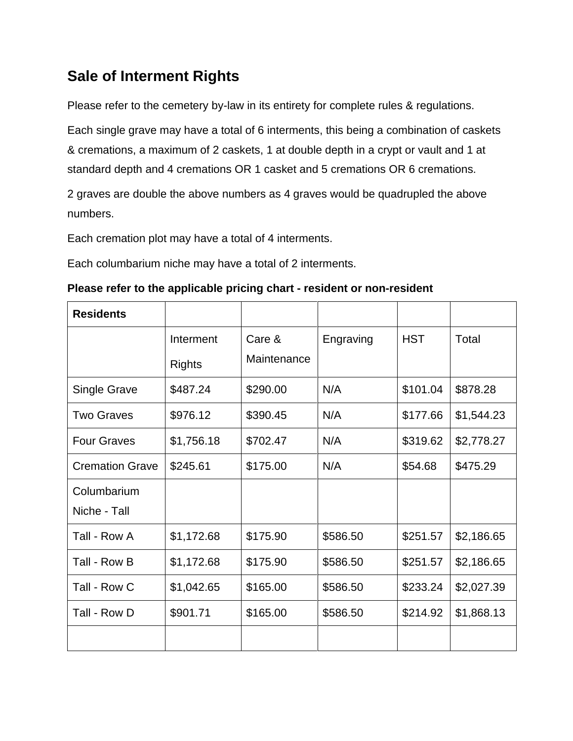# **Sale of Interment Rights**

Please refer to the cemetery by-law in its entirety for complete rules & regulations.

Each single grave may have a total of 6 interments, this being a combination of caskets & cremations, a maximum of 2 caskets, 1 at double depth in a crypt or vault and 1 at standard depth and 4 cremations OR 1 casket and 5 cremations OR 6 cremations.

2 graves are double the above numbers as 4 graves would be quadrupled the above numbers.

Each cremation plot may have a total of 4 interments.

Each columbarium niche may have a total of 2 interments.

| Please refer to the applicable pricing chart - resident or non-resident |  |
|-------------------------------------------------------------------------|--|
|-------------------------------------------------------------------------|--|

| <b>Residents</b>       |               |             |           |            |            |
|------------------------|---------------|-------------|-----------|------------|------------|
|                        | Interment     | Care &      | Engraving | <b>HST</b> | Total      |
|                        | <b>Rights</b> | Maintenance |           |            |            |
| <b>Single Grave</b>    | \$487.24      | \$290.00    | N/A       | \$101.04   | \$878.28   |
| <b>Two Graves</b>      | \$976.12      | \$390.45    | N/A       | \$177.66   | \$1,544.23 |
| <b>Four Graves</b>     | \$1,756.18    | \$702.47    | N/A       | \$319.62   | \$2,778.27 |
| <b>Cremation Grave</b> | \$245.61      | \$175.00    | N/A       | \$54.68    | \$475.29   |
| Columbarium            |               |             |           |            |            |
| Niche - Tall           |               |             |           |            |            |
| Tall - Row A           | \$1,172.68    | \$175.90    | \$586.50  | \$251.57   | \$2,186.65 |
| Tall - Row B           | \$1,172.68    | \$175.90    | \$586.50  | \$251.57   | \$2,186.65 |
| Tall - Row C           | \$1,042.65    | \$165.00    | \$586.50  | \$233.24   | \$2,027.39 |
| Tall - Row D           | \$901.71      | \$165.00    | \$586.50  | \$214.92   | \$1,868.13 |
|                        |               |             |           |            |            |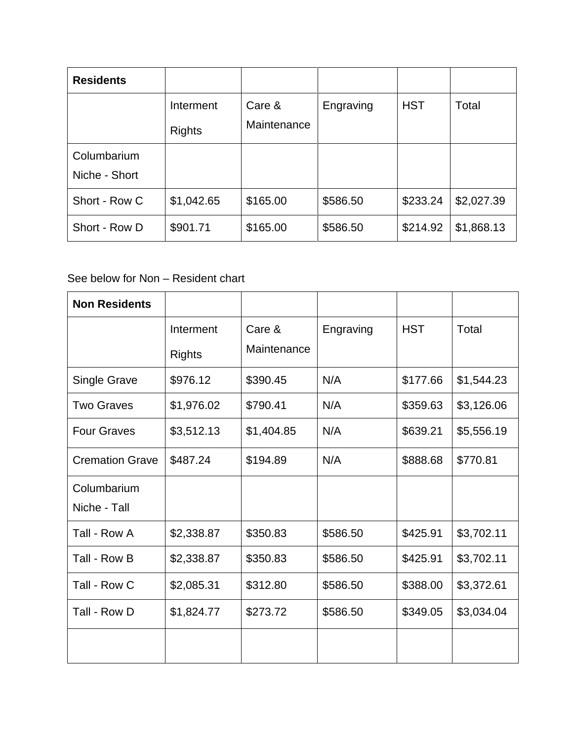| <b>Residents</b>             |                            |                       |           |            |            |
|------------------------------|----------------------------|-----------------------|-----------|------------|------------|
|                              | Interment<br><b>Rights</b> | Care &<br>Maintenance | Engraving | <b>HST</b> | Total      |
| Columbarium<br>Niche - Short |                            |                       |           |            |            |
| Short - Row C                | \$1,042.65                 | \$165.00              | \$586.50  | \$233.24   | \$2,027.39 |
| Short - Row D                | \$901.71                   | \$165.00              | \$586.50  | \$214.92   | \$1,868.13 |

#### See below for Non – Resident chart

| <b>Non Residents</b>        |                            |                       |           |            |            |
|-----------------------------|----------------------------|-----------------------|-----------|------------|------------|
|                             | Interment<br><b>Rights</b> | Care &<br>Maintenance | Engraving | <b>HST</b> | Total      |
| <b>Single Grave</b>         | \$976.12                   | \$390.45              | N/A       | \$177.66   | \$1,544.23 |
| <b>Two Graves</b>           | \$1,976.02                 | \$790.41              | N/A       | \$359.63   | \$3,126.06 |
| <b>Four Graves</b>          | \$3,512.13                 | \$1,404.85            | N/A       | \$639.21   | \$5,556.19 |
| <b>Cremation Grave</b>      | \$487.24                   | \$194.89              | N/A       | \$888.68   | \$770.81   |
| Columbarium<br>Niche - Tall |                            |                       |           |            |            |
| Tall - Row A                | \$2,338.87                 | \$350.83              | \$586.50  | \$425.91   | \$3,702.11 |
| Tall - Row B                | \$2,338.87                 | \$350.83              | \$586.50  | \$425.91   | \$3,702.11 |
| Tall - Row C                | \$2,085.31                 | \$312.80              | \$586.50  | \$388.00   | \$3,372.61 |
| Tall - Row D                | \$1,824.77                 | \$273.72              | \$586.50  | \$349.05   | \$3,034.04 |
|                             |                            |                       |           |            |            |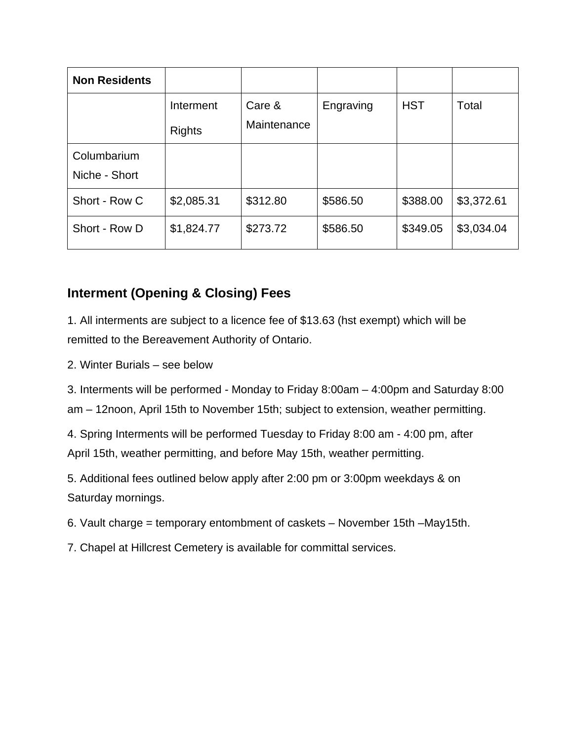| <b>Non Residents</b>         |                            |                       |           |            |            |
|------------------------------|----------------------------|-----------------------|-----------|------------|------------|
|                              | Interment<br><b>Rights</b> | Care &<br>Maintenance | Engraving | <b>HST</b> | Total      |
| Columbarium<br>Niche - Short |                            |                       |           |            |            |
| Short - Row C                | \$2,085.31                 | \$312.80              | \$586.50  | \$388.00   | \$3,372.61 |
| Short - Row D                | \$1,824.77                 | \$273.72              | \$586.50  | \$349.05   | \$3,034.04 |

## **Interment (Opening & Closing) Fees**

1. All interments are subject to a licence fee of \$13.63 (hst exempt) which will be remitted to the Bereavement Authority of Ontario.

2. Winter Burials – see below

3. Interments will be performed - Monday to Friday 8:00am – 4:00pm and Saturday 8:00 am – 12noon, April 15th to November 15th; subject to extension, weather permitting.

4. Spring Interments will be performed Tuesday to Friday 8:00 am - 4:00 pm, after April 15th, weather permitting, and before May 15th, weather permitting.

5. Additional fees outlined below apply after 2:00 pm or 3:00pm weekdays & on Saturday mornings.

- 6. Vault charge = temporary entombment of caskets November 15th –May15th.
- 7. Chapel at Hillcrest Cemetery is available for committal services.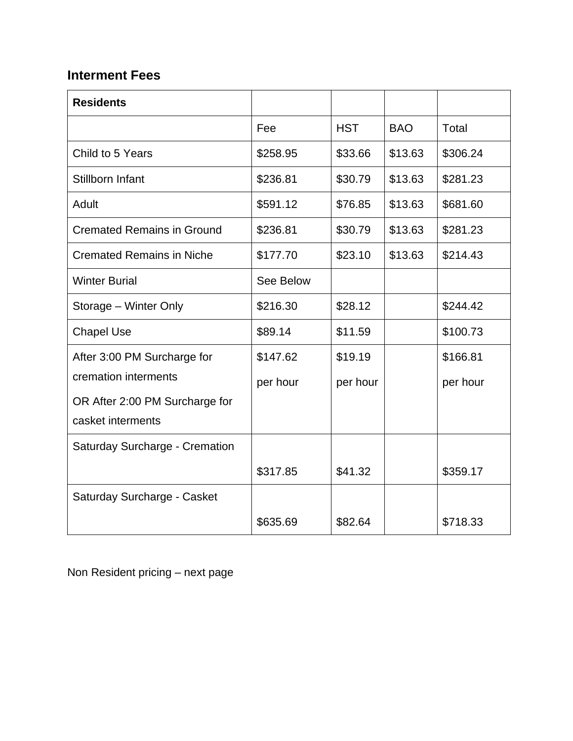## **Interment Fees**

| <b>Residents</b>                  |           |            |            |          |
|-----------------------------------|-----------|------------|------------|----------|
|                                   | Fee       | <b>HST</b> | <b>BAO</b> | Total    |
| Child to 5 Years                  | \$258.95  | \$33.66    | \$13.63    | \$306.24 |
| Stillborn Infant                  | \$236.81  | \$30.79    | \$13.63    | \$281.23 |
| Adult                             | \$591.12  | \$76.85    | \$13.63    | \$681.60 |
| <b>Cremated Remains in Ground</b> | \$236.81  | \$30.79    | \$13.63    | \$281.23 |
| <b>Cremated Remains in Niche</b>  | \$177.70  | \$23.10    | \$13.63    | \$214.43 |
| <b>Winter Burial</b>              | See Below |            |            |          |
| Storage - Winter Only             | \$216.30  | \$28.12    |            | \$244.42 |
| <b>Chapel Use</b>                 | \$89.14   | \$11.59    |            | \$100.73 |
| After 3:00 PM Surcharge for       | \$147.62  | \$19.19    |            | \$166.81 |
| cremation interments              | per hour  | per hour   |            | per hour |
| OR After 2:00 PM Surcharge for    |           |            |            |          |
| casket interments                 |           |            |            |          |
| Saturday Surcharge - Cremation    |           |            |            |          |
|                                   | \$317.85  | \$41.32    |            | \$359.17 |
| Saturday Surcharge - Casket       |           |            |            |          |
|                                   | \$635.69  | \$82.64    |            | \$718.33 |

Non Resident pricing – next page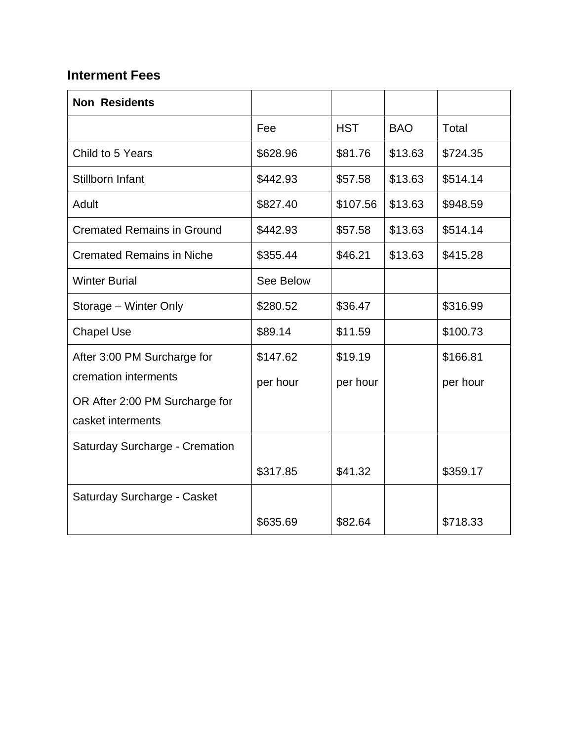## **Interment Fees**

| <b>Non Residents</b>              |           |            |            |          |
|-----------------------------------|-----------|------------|------------|----------|
|                                   | Fee       | <b>HST</b> | <b>BAO</b> | Total    |
| Child to 5 Years                  | \$628.96  | \$81.76    | \$13.63    | \$724.35 |
| Stillborn Infant                  | \$442.93  | \$57.58    | \$13.63    | \$514.14 |
| Adult                             | \$827.40  | \$107.56   | \$13.63    | \$948.59 |
| <b>Cremated Remains in Ground</b> | \$442.93  | \$57.58    | \$13.63    | \$514.14 |
| <b>Cremated Remains in Niche</b>  | \$355.44  | \$46.21    | \$13.63    | \$415.28 |
| <b>Winter Burial</b>              | See Below |            |            |          |
| Storage – Winter Only             | \$280.52  | \$36.47    |            | \$316.99 |
| <b>Chapel Use</b>                 | \$89.14   | \$11.59    |            | \$100.73 |
| After 3:00 PM Surcharge for       | \$147.62  | \$19.19    |            | \$166.81 |
| cremation interments              | per hour  | per hour   |            | per hour |
| OR After 2:00 PM Surcharge for    |           |            |            |          |
| casket interments                 |           |            |            |          |
| Saturday Surcharge - Cremation    |           |            |            |          |
|                                   | \$317.85  | \$41.32    |            | \$359.17 |
| Saturday Surcharge - Casket       |           |            |            |          |
|                                   | \$635.69  | \$82.64    |            | \$718.33 |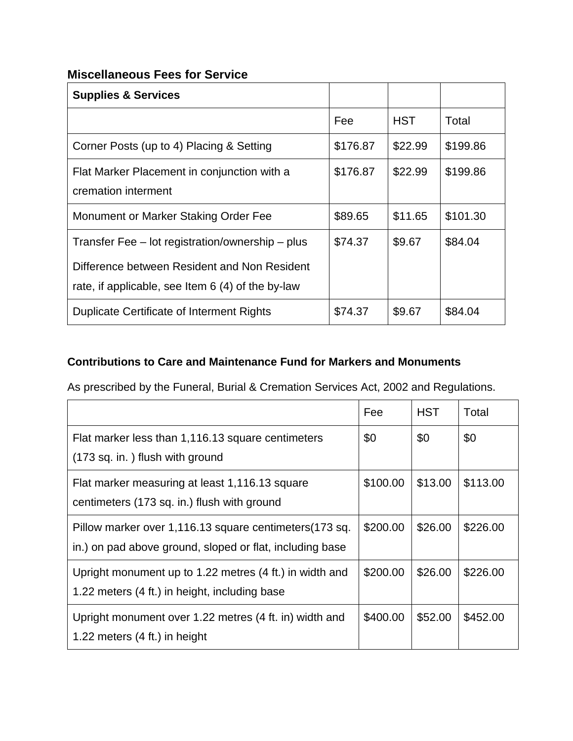#### **Miscellaneous Fees for Service**

| <b>Supplies &amp; Services</b>                                                                    |          |            |          |
|---------------------------------------------------------------------------------------------------|----------|------------|----------|
|                                                                                                   | Fee      | <b>HST</b> | Total    |
| Corner Posts (up to 4) Placing & Setting                                                          | \$176.87 | \$22.99    | \$199.86 |
| Flat Marker Placement in conjunction with a<br>cremation interment                                | \$176.87 | \$22.99    | \$199.86 |
| Monument or Marker Staking Order Fee                                                              | \$89.65  | \$11.65    | \$101.30 |
| Transfer Fee – lot registration/ownership – plus                                                  | \$74.37  | \$9.67     | \$84.04  |
| Difference between Resident and Non Resident<br>rate, if applicable, see Item 6 (4) of the by-law |          |            |          |
| <b>Duplicate Certificate of Interment Rights</b>                                                  | \$74.37  | \$9.67     | \$84.04  |

### **Contributions to Care and Maintenance Fund for Markers and Monuments**

As prescribed by the Funeral, Burial & Cremation Services Act, 2002 and Regulations.

|                                                                                                                    | Fee      | <b>HST</b> | Total    |
|--------------------------------------------------------------------------------------------------------------------|----------|------------|----------|
| Flat marker less than 1,116.13 square centimeters<br>(173 sq. in.) flush with ground                               | \$0      | \$0        | \$0      |
| Flat marker measuring at least 1,116.13 square<br>centimeters (173 sq. in.) flush with ground                      | \$100.00 | \$13.00    | \$113.00 |
| Pillow marker over 1,116.13 square centimeters(173 sq.<br>in.) on pad above ground, sloped or flat, including base | \$200.00 | \$26.00    | \$226.00 |
| Upright monument up to 1.22 metres (4 ft.) in width and<br>1.22 meters (4 ft.) in height, including base           | \$200.00 | \$26.00    | \$226.00 |
| Upright monument over 1.22 metres (4 ft. in) width and<br>1.22 meters $(4 \text{ ft.})$ in height                  | \$400.00 | \$52.00    | \$452.00 |